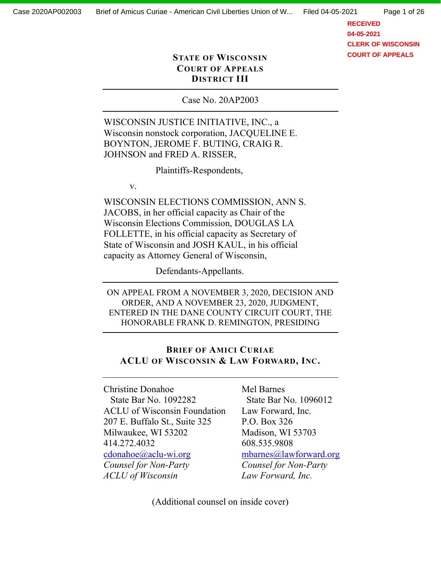Page 1 of 26

**RECEIVED 04-05-2021 CLERK OF WISCONSIN COURT OF APPEALS**

## **STATE OF WISCONSIN COURT OF APPEALS DI675IC7 III**

Case No. 20AP2003

WISCONSIN JUSTICE INITIATIVE, INC., a Wisconsin nonstock corporation, JACQUELINE E. BOYNTON, JEROME F. BUTING, CRAIG R. JOHNSON and FRED A. RISSER,

Plaintiffs-Respondents,

v.

WISCONSIN ELECTIONS COMMISSION, ANN S. JACOBS, in her official capacity as Chair of the Wisconsin Elections Commission, DOUGLAS LA FOLLETTE, in his official capacity as Secretary of State of Wisconsin and JOSH KAUL, in his official capacity as Attorney General of Wisconsin,

Defendants-Appellants.

ON APPEAL FROM A NOVEMBER 3, 2020, DECISION AND ORDER, AND A NOVEMBER 23, 2020, JUDGMENT, ENTERED IN THE DANE COUNTY CIRCUIT COURT, THE HONORABLE FRANK D. REMINGTON, PRESIDING

## **BRIEF OF AMICI CURIAE ACLU OF WISCONSIN & LAW FORWARD, INC.**

Christine Donahoe State Bar No. 1092282 ACLU of Wisconsin Foundation 207 E. Buffalo St., Suite 325 Milwaukee, WI 53202 414.272.4032 [cdonahoe@aclu-wi.org](mailto:cdonahoe@aclu-wi.org) *Counsel for Non-Party ACLU of Wisconsin*

Mel Barnes State Bar No. 1096012 Law Forward, Inc. P.O. Box 326 Madison, WI 53703 608.535.9808 [mbarnes@lawforward.org](mailto:mbarnes@lawforward.org) *Counsel for Non-Party Law Forward, Inc.*

(Additional counsel on inside cover)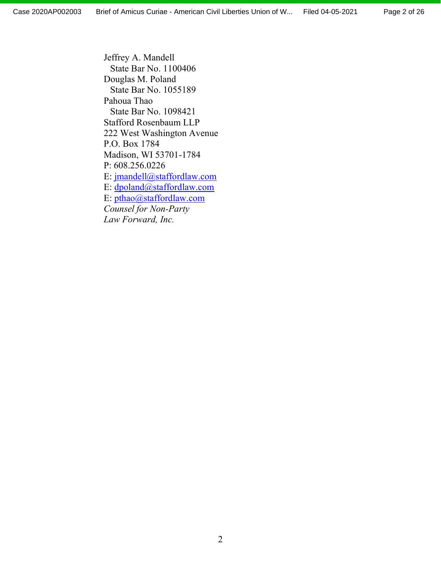Page 2 of 26

Jeffrey A. Mandell State Bar No. 1100406 Douglas M. Poland State Bar No. 1055189 Pahoua Thao State Bar No. 1098421 Stafford Rosenbaum LLP 222 West Washington Avenue P.O. Box 1784 Madison, WI 53701-1784 P: 608.256.0226 E: [jmandell@staffordlaw.com](mailto:jmandell@staffordlaw.com) E: [dpoland@staffordlaw.com](mailto:dpoland@staffordlaw.com) E: [pthao@staffordlaw.com](mailto:pthao@staffordlaw.com) *Counsel for Non-Party Law Forward, Inc.*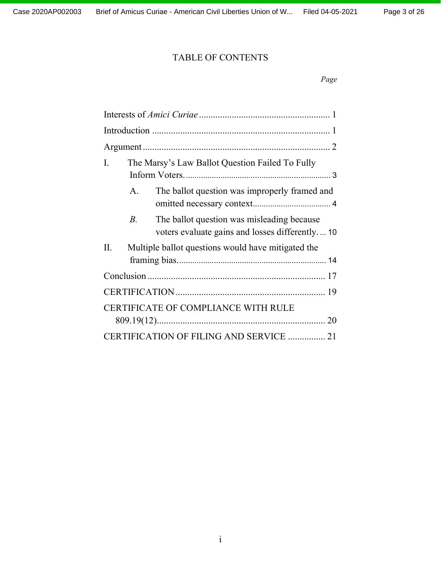# TABLE OF CONTENTS

| The Marsy's Law Ballot Question Failed To Fully<br>Ι.                                              |
|----------------------------------------------------------------------------------------------------|
| The ballot question was improperly framed and<br>A.                                                |
| The ballot question was misleading because<br>B.<br>voters evaluate gains and losses differently10 |
| Multiple ballot questions would have mitigated the<br>П.                                           |
|                                                                                                    |
|                                                                                                    |
| CERTIFICATE OF COMPLIANCE WITH RULE                                                                |
| CERTIFICATION OF FILING AND SERVICE  21                                                            |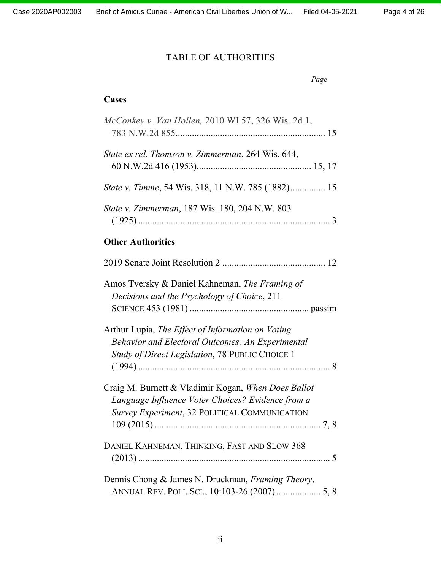# TABLE OF AUTHORITIES

```
Page
```
# **Cases**

| McConkey v. Van Hollen, 2010 WI 57, 326 Wis. 2d 1, |
|----------------------------------------------------|
| State ex rel. Thomson v. Zimmerman, 264 Wis. 644,  |
|                                                    |
| State v. Zimmerman, 187 Wis. 180, 204 N.W. 803     |
|                                                    |

## **Other Authorities**

| Amos Tversky & Daniel Kahneman, The Framing of          |  |
|---------------------------------------------------------|--|
| Decisions and the Psychology of Choice, 211             |  |
|                                                         |  |
| Arthur Lupia, The Effect of Information on Voting       |  |
| <b>Behavior and Electoral Outcomes: An Experimental</b> |  |
| Study of Direct Legislation, 78 PUBLIC CHOICE 1         |  |
|                                                         |  |
| Craig M. Burnett & Vladimir Kogan, When Does Ballot     |  |
| Language Influence Voter Choices? Evidence from a       |  |
| Survey Experiment, 32 POLITICAL COMMUNICATION           |  |
|                                                         |  |
| DANIEL KAHNEMAN, THINKING, FAST AND SLOW 368            |  |
|                                                         |  |
| Dennis Chong & James N. Druckman, Framing Theory,       |  |
| ANNUAL REV. POLI. SCI., 10:103-26 (2007) 5, 8           |  |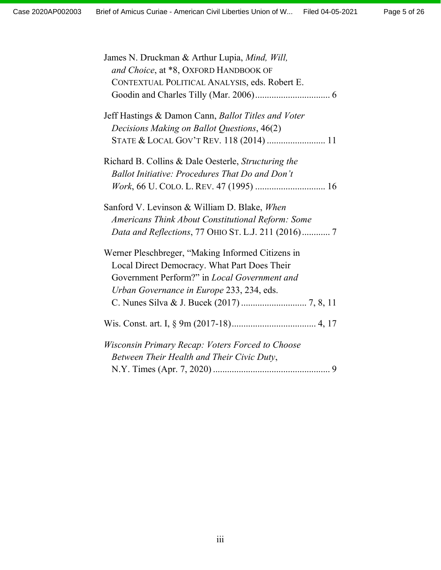| James N. Druckman & Arthur Lupia, Mind, Will,       |
|-----------------------------------------------------|
| and Choice, at *8, OXFORD HANDBOOK OF               |
| CONTEXTUAL POLITICAL ANALYSIS, eds. Robert E.       |
|                                                     |
| Jeff Hastings & Damon Cann, Ballot Titles and Voter |
| Decisions Making on Ballot Questions, 46(2)         |
| STATE & LOCAL GOV'T REV. 118 (2014)  11             |
| Richard B. Collins & Dale Oesterle, Structuring the |
| Ballot Initiative: Procedures That Do and Don't     |
|                                                     |
| Sanford V. Levinson & William D. Blake, When        |
| Americans Think About Constitutional Reform: Some   |
| Data and Reflections, 77 OHIO ST. L.J. 211 (2016) 7 |
| Werner Pleschbreger, "Making Informed Citizens in   |
| Local Direct Democracy. What Part Does Their        |
| Government Perform?" in Local Government and        |
| Urban Governance in Europe 233, 234, eds.           |
|                                                     |
|                                                     |
| Wisconsin Primary Recap: Voters Forced to Choose    |
| Between Their Health and Their Civic Duty,          |
|                                                     |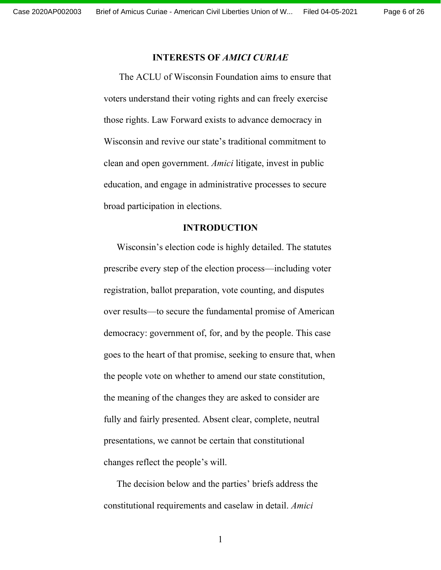#### **INTERESTS OF** *AMICI CURIAE*

<span id="page-5-0"></span>The ACLU of Wisconsin Foundation aims to ensure that voters understand their voting rights and can freely exercise those rights. Law Forward exists to advance democracy in Wisconsin and revive our state's traditional commitment to clean and open government. *Amici* litigate, invest in public education, and engage in administrative processes to secure broad participation in elections.

#### **INTRODUCTION**

<span id="page-5-1"></span>Wisconsin's election code is highly detailed. The statutes prescribe every step of the election process—including voter registration, ballot preparation, vote counting, and disputes over results—to secure the fundamental promise of American democracy: government of, for, and by the people. This case goes to the heart of that promise, seeking to ensure that, when the people vote on whether to amend our state constitution, the meaning of the changes they are asked to consider are fully and fairly presented. Absent clear, complete, neutral presentations, we cannot be certain that constitutional changes reflect the people's will.

The decision below and the parties' briefs address the constitutional requirements and caselaw in detail. *Amici*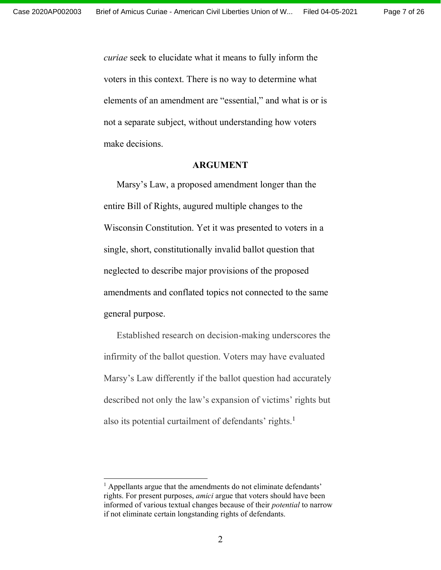*curiae* seek to elucidate what it means to fully inform the voters in this context. There is no way to determine what elements of an amendment are "essential," and what is or is not a separate subject, without understanding how voters make decisions.

#### **ARGUMENT**

<span id="page-6-0"></span>Marsy's Law, a proposed amendment longer than the entire Bill of Rights, augured multiple changes to the Wisconsin Constitution. Yet it was presented to voters in a single, short, constitutionally invalid ballot question that neglected to describe major provisions of the proposed amendments and conflated topics not connected to the same general purpose.

Established research on decision-making underscores the infirmity of the ballot question. Voters may have evaluated Marsy's Law differently if the ballot question had accurately described not only the law's expansion of victims' rights but also its potential curtailment of defendants' rights.<sup>1</sup>

 $<sup>1</sup>$  Appellants argue that the amendments do not eliminate defendants'</sup> rights. For present purposes, *amici* argue that voters should have been informed of various textual changes because of their *potential* to narrow if not eliminate certain longstanding rights of defendants.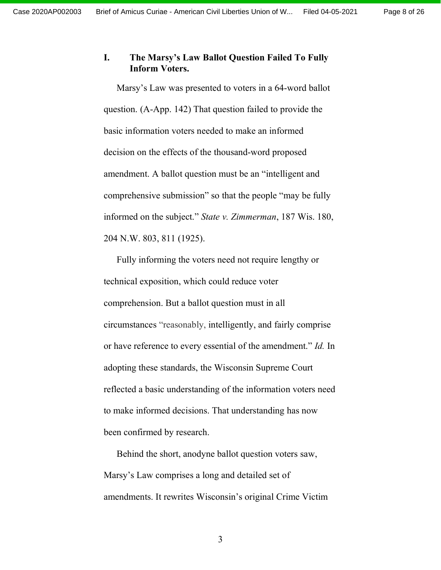### <span id="page-7-0"></span>**I.** The Marsy's Law Ballot Question Failed To Fully **Inform Voters.**

Marsy's Law was presented to voters in a 64-word ballot question. (A-App. 142) That question failed to provide the basic information voters needed to make an informed decision on the effects of the thousand-word proposed amendment. A ballot question must be an "intelligent and comprehensive submission" so that the people "may be fully informed on the subject." *State v. Zimmerman*, 187 Wis. 180, 204 N.W. 803, 811 (1925).

Fully informing the voters need not require lengthy or technical exposition, which could reduce voter comprehension. But a ballot question must in all circumstances "reasonably, intelligently, and fairly comprise or have reference to every essential of the amendment.´ *Id.* In adopting these standards, the Wisconsin Supreme Court reflected a basic understanding of the information voters need to make informed decisions. That understanding has now been confirmed by research.

Behind the short, anodyne ballot question voters saw, Marsy's Law comprises a long and detailed set of amendments. It rewrites Wisconsin's original Crime Victim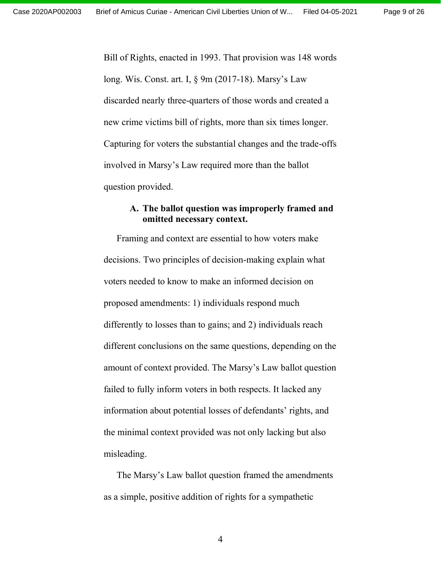Bill of Rights, enacted in 1993. That provision was 148 words long. Wis. Const. art. I, § 9m (2017-18). Marsy's Law discarded nearly three-quarters of those words and created a new crime victims bill of rights, more than six times longer. Capturing for voters the substantial changes and the trade-offs involved in Marsy's Law required more than the ballot question provided.

### <span id="page-8-0"></span>**A. The ballot question was improperly framed and omitted necessary context.**

Framing and context are essential to how voters make decisions. Two principles of decision-making explain what voters needed to know to make an informed decision on proposed amendments: 1) individuals respond much differently to losses than to gains; and 2) individuals reach different conclusions on the same questions, depending on the amount of context provided. The Marsy's Law ballot question failed to fully inform voters in both respects. It lacked any information about potential losses of defendants' rights, and the minimal context provided was not only lacking but also misleading.

The Marsy's Law ballot question framed the amendments as a simple, positive addition of rights for a sympathetic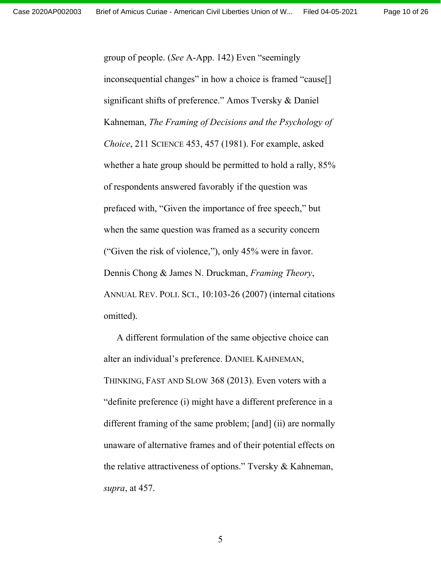group of people. (*See* A-App. 142) Even "seemingly inconsequential changes" in how a choice is framed "cause[] significant shifts of preference." Amos Tversky & Daniel Kahneman, *The Framing of Decisions and the Psychology of Choice*, 211 SCIENCE 453, 457 (1981). For example, asked whether a hate group should be permitted to hold a rally, 85% of respondents answered favorably if the question was prefaced with, "Given the importance of free speech," but when the same question was framed as a security concern ("Given the risk of violence,"), only  $45%$  were in favor. Dennis Chong & James N. Druckman, *Framing Theory*, ANNUAL REV. POLI. SCI., 10:103-26 (2007) (internal citations omitted).

A different formulation of the same objective choice can alter an individual's preference. DANIEL KAHNEMAN, THINKING, FAST AND SLOW 368 (2013). Even voters with a "definite preference (i) might have a different preference in a different framing of the same problem; [and] (ii) are normally unaware of alternative frames and of their potential effects on the relative attractiveness of options." Tversky  $\&$  Kahneman, *supra*, at 457.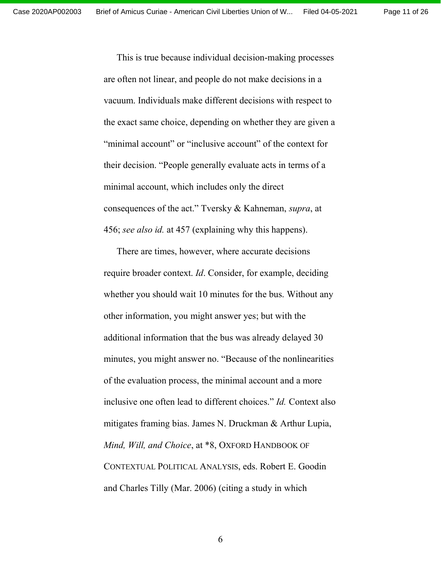Page 11 of 26

This is true because individual decision-making processes are often not linear, and people do not make decisions in a vacuum. Individuals make different decisions with respect to the exact same choice, depending on whether they are given a "minimal account" or "inclusive account" of the context for their decision. "People generally evaluate acts in terms of a minimal account, which includes only the direct consequences of the act.´ Tversky & Kahneman, *supra*, at 456; *see also id.* at 457 (explaining why this happens).

There are times, however, where accurate decisions require broader context. *Id*. Consider, for example, deciding whether you should wait 10 minutes for the bus. Without any other information, you might answer yes; but with the additional information that the bus was already delayed 30 minutes, you might answer no. "Because of the nonlinearities of the evaluation process, the minimal account and a more inclusive one often lead to different choices.´ *Id.* Context also mitigates framing bias. James N. Druckman & Arthur Lupia, *Mind, Will, and Choice*, at \*8, OXFORD HANDBOOK OF CONTEXTUAL POLITICAL ANALYSIS, eds. Robert E. Goodin and Charles Tilly (Mar. 2006) (citing a study in which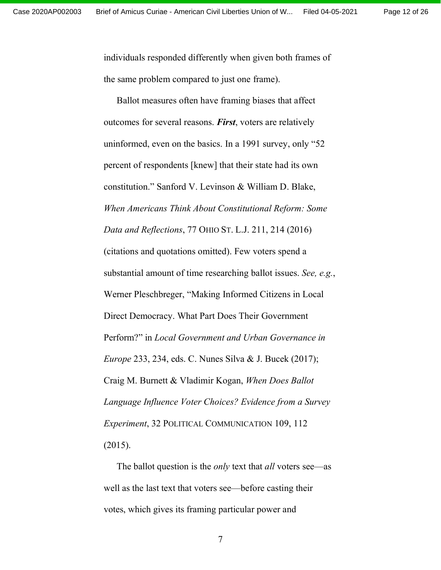individuals responded differently when given both frames of the same problem compared to just one frame).

Ballot measures often have framing biases that affect outcomes for several reasons. *First*, voters are relatively uninformed, even on the basics. In a  $1991$  survey, only "52 percent of respondents [knew] that their state had its own constitution." Sanford V. Levinson & William D. Blake, *When Americans Think About Constitutional Reform: Some Data and Reflections*, 77 OHIO ST. L.J. 211, 214 (2016) (citations and quotations omitted). Few voters spend a substantial amount of time researching ballot issues. *See, e.g.*, Werner Pleschbreger, "Making Informed Citizens in Local Direct Democracy. What Part Does Their Government Perform?" in *Local Government and Urban Governance in Europe* 233, 234, eds. C. Nunes Silva & J. Bucek (2017); Craig M. Burnett & Vladimir Kogan, *When Does Ballot Language Influence Voter Choices? Evidence from a Survey Experiment*, 32 POLITICAL COMMUNICATION 109, 112 (2015).

The ballot question is the *only* text that *all* voters see—as well as the last text that voters see—before casting their votes, which gives its framing particular power and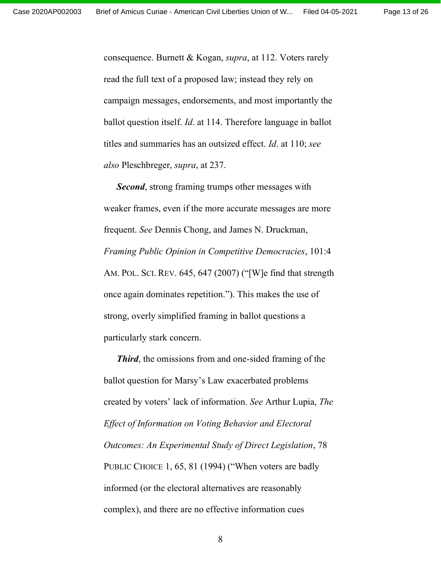consequence. Burnett & Kogan, *supra*, at 112. Voters rarely read the full text of a proposed law; instead they rely on campaign messages, endorsements, and most importantly the ballot question itself. *Id*. at 114. Therefore language in ballot titles and summaries has an outsized effect. *Id*. at 110; *see also* Pleschbreger, *supra*, at 237.

*Second*, strong framing trumps other messages with weaker frames, even if the more accurate messages are more frequent. *See* Dennis Chong, and James N. Druckman, *Framing Public Opinion in Competitive Democracies*, 101:4 AM. POL. SCI. REV.  $645, 647$  (2007) ("[W]e find that strength once again dominates repetition.´). This makes the use of strong, overly simplified framing in ballot questions a particularly stark concern.

*Third*, the omissions from and one-sided framing of the ballot question for Marsy's Law exacerbated problems created by voters¶ lack of information. *See* Arthur Lupia, *The Effect of Information on Voting Behavior and Electoral Outcomes: An Experimental Study of Direct Legislation*, 78 PUBLIC CHOICE 1, 65, 81 (1994) ("When voters are badly informed (or the electoral alternatives are reasonably complex), and there are no effective information cues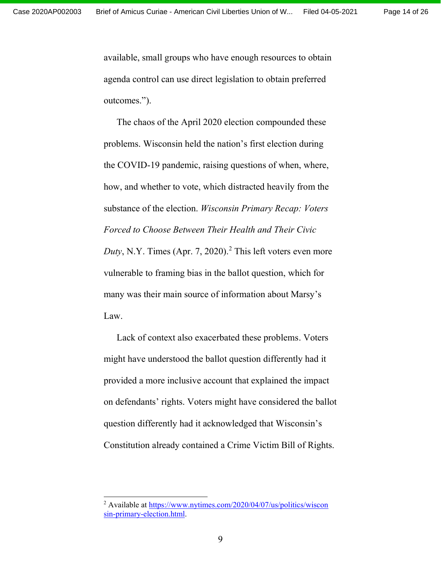available, small groups who have enough resources to obtain agenda control can use direct legislation to obtain preferred outcomes.").

The chaos of the April 2020 election compounded these problems. Wisconsin held the nation's first election during the COVID-19 pandemic, raising questions of when, where, how, and whether to vote, which distracted heavily from the substance of the election. *Wisconsin Primary Recap: Voters Forced to Choose Between Their Health and Their Civic Duty*, N.Y. Times (Apr. 7, 2020). <sup>2</sup> This left voters even more vulnerable to framing bias in the ballot question, which for many was their main source of information about Marsy's Law.

Lack of context also exacerbated these problems. Voters might have understood the ballot question differently had it provided a more inclusive account that explained the impact on defendants' rights. Voters might have considered the ballot question differently had it acknowledged that Wisconsin's Constitution already contained a Crime Victim Bill of Rights.

<sup>2</sup> Available a[t https://www.nytimes.com/2020/04/07/us/politics/wiscon](https://www.nytimes.com/2020/04/07/us/politics/wisconsin-primary-election.html) [sin-primary-election.html.](https://www.nytimes.com/2020/04/07/us/politics/wisconsin-primary-election.html)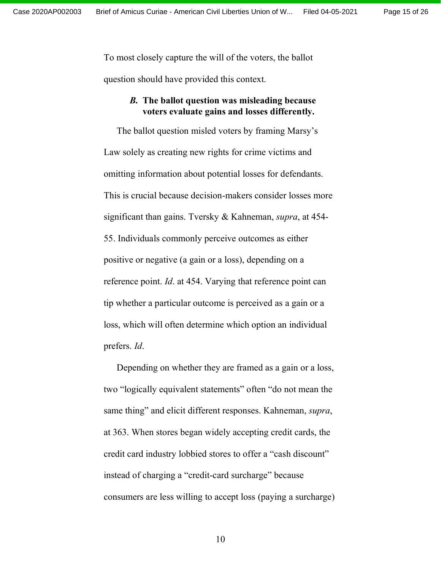To most closely capture the will of the voters, the ballot question should have provided this context.

### <span id="page-14-0"></span>*B.* **The ballot question was misleading because voters evaluate gains and losses differently.**

The ballot question misled voters by framing Marsy's Law solely as creating new rights for crime victims and omitting information about potential losses for defendants. This is crucial because decision-makers consider losses more significant than gains. Tversky & Kahneman, *supra*, at 454- 55. Individuals commonly perceive outcomes as either positive or negative (a gain or a loss), depending on a reference point. *Id*. at 454. Varying that reference point can tip whether a particular outcome is perceived as a gain or a loss, which will often determine which option an individual prefers. *Id*.

Depending on whether they are framed as a gain or a loss, two "logically equivalent statements" often "do not mean the same thing" and elicit different responses. Kahneman, *supra*, at 363. When stores began widely accepting credit cards, the credit card industry lobbied stores to offer a "cash discount" instead of charging a "credit-card surcharge" because consumers are less willing to accept loss (paying a surcharge)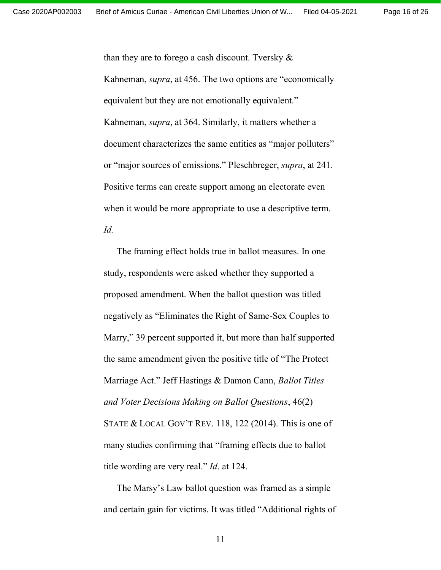Page 16 of 26

than they are to forego a cash discount. Tversky  $\&$ Kahneman, *supra*, at 456. The two options are "economically equivalent but they are not emotionally equivalent." Kahneman, *supra*, at 364. Similarly, it matters whether a document characterizes the same entities as "major polluters" or "major sources of emissions." Pleschbreger, *supra*, at 241. Positive terms can create support among an electorate even when it would be more appropriate to use a descriptive term. *Id.*

The framing effect holds true in ballot measures. In one study, respondents were asked whether they supported a proposed amendment. When the ballot question was titled negatively as "Eliminates the Right of Same-Sex Couples to Marry," 39 percent supported it, but more than half supported the same amendment given the positive title of "The Protect" Marriage Act.´ Jeff Hastings & Damon Cann, *Ballot Titles and Voter Decisions Making on Ballot Questions*, 46(2) STATE  $&$  LOCAL GOV'T REV. 118, 122 (2014). This is one of many studies confirming that "framing effects due to ballot title wording are very real." *Id.* at 124.

The Marsy's Law ballot question was framed as a simple and certain gain for victims. It was titled "Additional rights of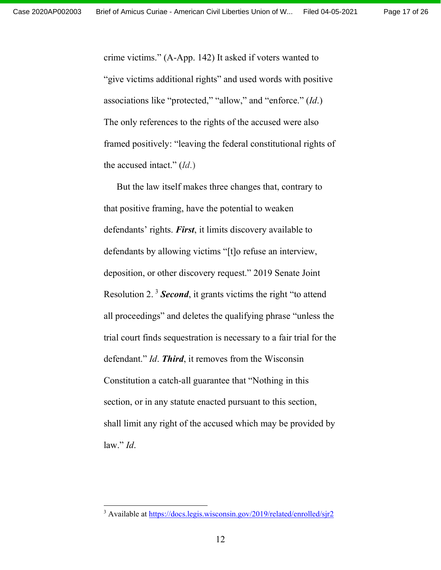crime victims." (A-App. 142) It asked if voters wanted to "give victims additional rights" and used words with positive associations like "protected," "allow," and "enforce." (*Id*.) The only references to the rights of the accused were also framed positively: "leaving the federal constitutional rights of the accused intact."  $(Id.)$ 

But the law itself makes three changes that, contrary to that positive framing, have the potential to weaken defendants' rights. *First*, it limits discovery available to defendants by allowing victims "[t]o refuse an interview, deposition, or other discovery request." 2019 Senate Joint Resolution 2.<sup>3</sup> **Second**, it grants victims the right "to attend all proceedings" and deletes the qualifying phrase "unless the trial court finds sequestration is necessary to a fair trial for the defendant." *Id.* **Third**, it removes from the Wisconsin Constitution a catch-all guarantee that "Nothing in this section, or in any statute enacted pursuant to this section, shall limit any right of the accused which may be provided by law."  $Id$ .

<sup>&</sup>lt;sup>3</sup> Available a[t https://docs.legis.wisconsin.gov/2019/related/enrolled/sjr2](https://docs.legis.wisconsin.gov/2019/related/enrolled/sjr2)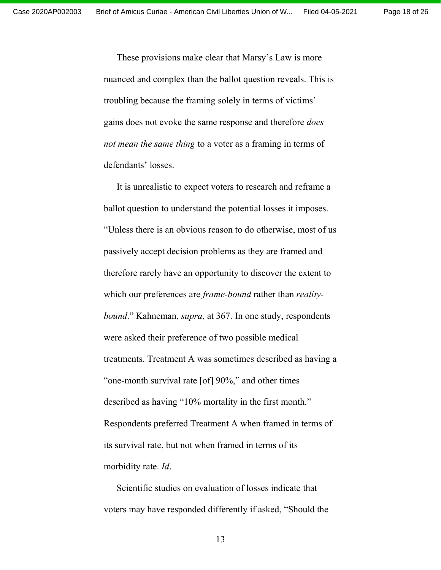These provisions make clear that Marsy's Law is more nuanced and complex than the ballot question reveals. This is troubling because the framing solely in terms of victims' gains does not evoke the same response and therefore *does not mean the same thing* to a voter as a framing in terms of defendants' losses.

It is unrealistic to expect voters to research and reframe a ballot question to understand the potential losses it imposes. ³Unless there is an obvious reason to do otherwise, most of us passively accept decision problems as they are framed and therefore rarely have an opportunity to discover the extent to which our preferences are *frame-bound* rather than *realitybound*.´ Kahneman, *supra*, at 367. In one study, respondents were asked their preference of two possible medical treatments. Treatment A was sometimes described as having a "one-month survival rate  $[of] 90\%$ ," and other times described as having "10% mortality in the first month." Respondents preferred Treatment A when framed in terms of its survival rate, but not when framed in terms of its morbidity rate. *Id*.

Scientific studies on evaluation of losses indicate that voters may have responded differently if asked, "Should the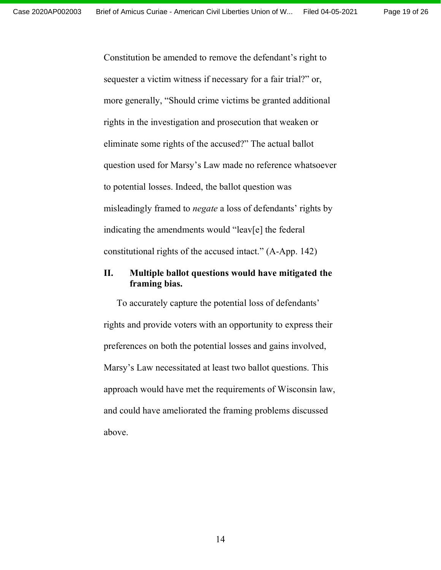Constitution be amended to remove the defendant's right to sequester a victim witness if necessary for a fair trial?" or, more generally, "Should crime victims be granted additional rights in the investigation and prosecution that weaken or eliminate some rights of the accused?" The actual ballot question used for Marsy's Law made no reference whatsoever to potential losses. Indeed, the ballot question was misleadingly framed to *negate* a loss of defendants' rights by indicating the amendments would "leav[e] the federal constitutional rights of the accused intact." (A-App. 142)

## <span id="page-18-0"></span>**II. Multiple ballot questions would have mitigated the framing bias.**

To accurately capture the potential loss of defendants' rights and provide voters with an opportunity to express their preferences on both the potential losses and gains involved, Marsy's Law necessitated at least two ballot questions. This approach would have met the requirements of Wisconsin law, and could have ameliorated the framing problems discussed above.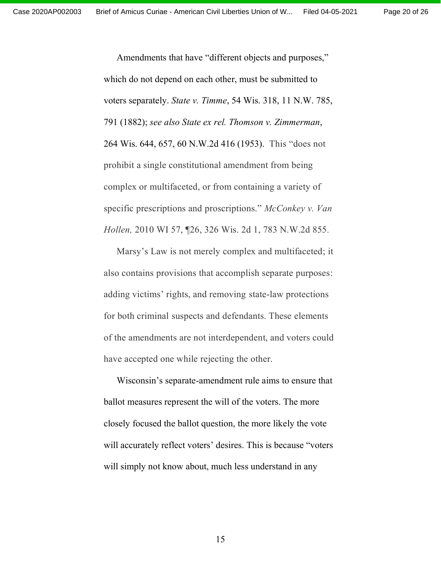Page 20 of 26

Amendments that have "different objects and purposes," which do not depend on each other, must be submitted to voters separately. *State v. Timme*, 54 Wis. 318, 11 N.W. 785, 791 (1882); *see also State ex rel. Thomson v. Zimmerman*, 264 Wis. 644, 657, 60 N.W.2d 416 (1953). This "does not prohibit a single constitutional amendment from being complex or multifaceted, or from containing a variety of specific prescriptions and proscriptions.´ *McConkey v. Van Hollen,* 2010 WI 57, ¶26, 326 Wis. 2d 1, 783 N.W.2d 855*.*

Marsy's Law is not merely complex and multifaceted; it also contains provisions that accomplish separate purposes: adding victims' rights, and removing state-law protections for both criminal suspects and defendants. These elements of the amendments are not interdependent, and voters could have accepted one while rejecting the other.

Wisconsin's separate-amendment rule aims to ensure that ballot measures represent the will of the voters. The more closely focused the ballot question, the more likely the vote will accurately reflect voters' desires. This is because "voters" will simply not know about, much less understand in any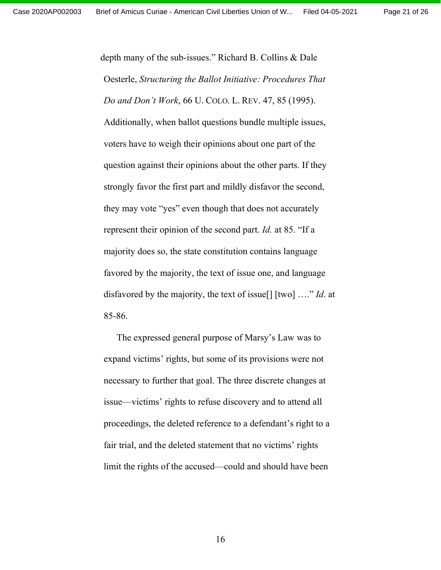depth many of the sub-issues." Richard B. Collins & Dale Oesterle, *Structuring the Ballot Initiative: Procedures That Do and Don't Work*, 66 U. COLO. L. REV. 47, 85 (1995). Additionally, when ballot questions bundle multiple issues, voters have to weigh their opinions about one part of the question against their opinions about the other parts. If they strongly favor the first part and mildly disfavor the second, they may vote "yes" even though that does not accurately represent their opinion of the second part. *Id.* at 85. "If a majority does so, the state constitution contains language favored by the majority, the text of issue one, and language disfavored by the majority, the text of issue[] [two] ….´ *Id*. at 85-86.

The expressed general purpose of Marsy's Law was to expand victims' rights, but some of its provisions were not necessary to further that goal. The three discrete changes at issue—victims' rights to refuse discovery and to attend all proceedings, the deleted reference to a defendant's right to a fair trial, and the deleted statement that no victims' rights limit the rights of the accused—could and should have been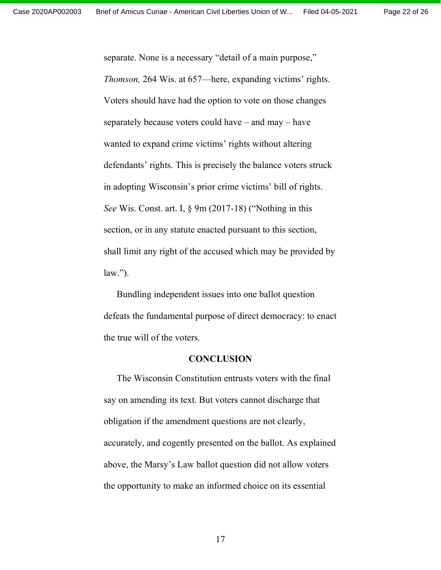separate. None is a necessary "detail of a main purpose," *Thomson,* 264 Wis. at 657—here, expanding victims' rights. Voters should have had the option to vote on those changes separately because voters could have – and may – have wanted to expand crime victims' rights without altering defendants' rights. This is precisely the balance voters struck in adopting Wisconsin's prior crime victims' bill of rights. *See* Wis. Const. art. I, § 9m (2017-18) ("Nothing in this section, or in any statute enacted pursuant to this section, shall limit any right of the accused which may be provided by  $law.'$ ).

Bundling independent issues into one ballot question defeats the fundamental purpose of direct democracy: to enact the true will of the voters.

#### **CONCLUSION**

<span id="page-21-0"></span>The Wisconsin Constitution entrusts voters with the final say on amending its text. But voters cannot discharge that obligation if the amendment questions are not clearly, accurately, and cogently presented on the ballot. As explained above, the Marsy's Law ballot question did not allow voters the opportunity to make an informed choice on its essential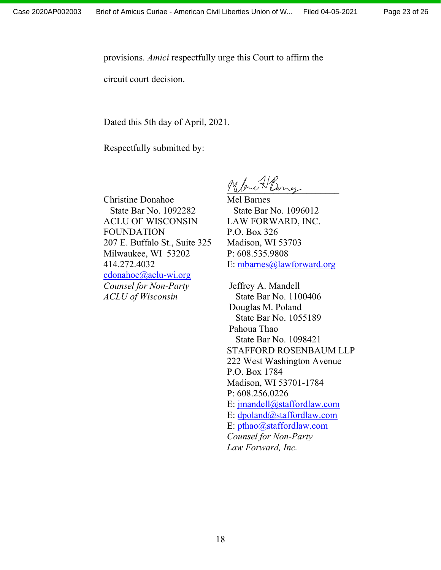provisions. *Amici* respectfully urge this Court to affirm the

circuit court decision.

Dated this 5th day of April, 2021.

Respectfully submitted by:

Christine Donahoe State Bar No. 1092282 ACLU OF WISCONSIN FOUNDATION 207 E. Buffalo St., Suite 325 Milwaukee, WI 53202 414.272.4032 [cdonahoe@aclu-wi.org](mailto:cdonahoe@aclu-wi.org) *Counsel for Non-Party ACLU of Wisconsin*

M. Low H Burner

Mel Barnes State Bar No. 1096012 LAW FORWARD, INC. P.O. Box 326 Madison, WI 53703 P: 608.535.9808 E: [mbarnes@lawforward.org](mailto:mbarnes@lawforward.org)

Jeffrey A. Mandell State Bar No. 1100406 Douglas M. Poland State Bar No. 1055189 Pahoua Thao State Bar No. 1098421 STAFFORD ROSENBAUM LLP 222 West Washington Avenue P.O. Box 1784 Madison, WI 53701-1784 P: 608.256.0226 E: [jmandell@staffordlaw.com](mailto:jmandell@staffordlaw.com) E: [dpoland@staffordlaw.com](mailto:dpoland@staffordlaw.com) E: [pthao@staffordlaw.com](mailto:pthao@staffordlaw.com) *Counsel for Non-Party Law Forward, Inc.*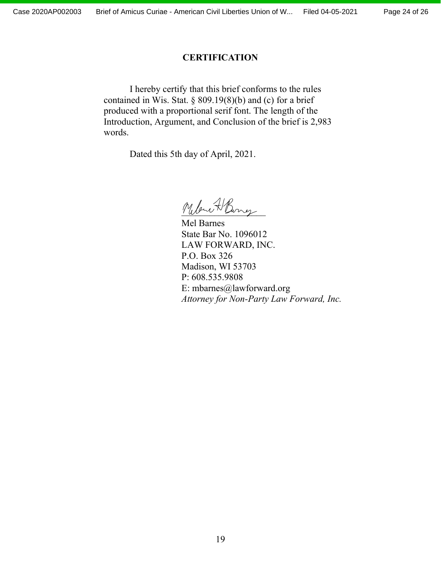#### **CERTIFICATION**

<span id="page-23-0"></span>I hereby certify that this brief conforms to the rules contained in Wis. Stat.  $\S 809.19(8)(b)$  and (c) for a brief produced with a proportional serif font. The length of the Introduction, Argument, and Conclusion of the brief is 2,983 words.

Dated this 5th day of April, 2021.

Melow H Burrez

Mel Barnes State Bar No. 1096012 LAW FORWARD, INC. P.O. Box 326 Madison, WI 53703 P: 608.535.9808 E: mbarnes@lawforward.org *Attorney for Non-Party Law Forward, Inc.*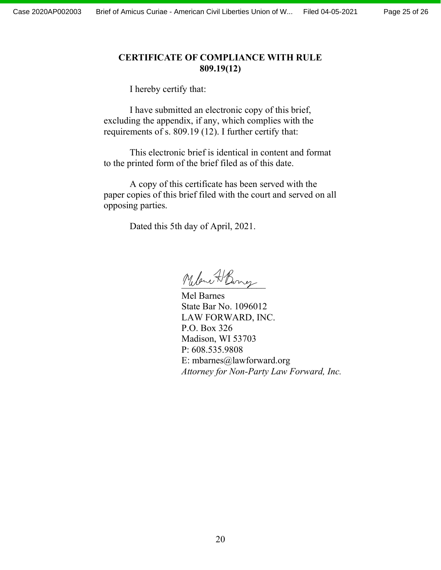## <span id="page-24-0"></span>**CERTIFICATE OF COMPLIANCE WITH RULE 809.19(12)**

I hereby certify that:

I have submitted an electronic copy of this brief, excluding the appendix, if any, which complies with the requirements of s. 809.19 (12). I further certify that:

This electronic brief is identical in content and format to the printed form of the brief filed as of this date.

A copy of this certificate has been served with the paper copies of this brief filed with the court and served on all opposing parties.

Dated this 5th day of April, 2021.

Melow A Burrez

Mel Barnes State Bar No. 1096012 LAW FORWARD, INC. P.O. Box 326 Madison, WI 53703 P: 608.535.9808 E: mbarnes@lawforward.org *Attorney for Non-Party Law Forward, Inc.*